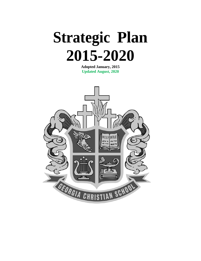

**Adopted January, 2015 Updated August, 2020**

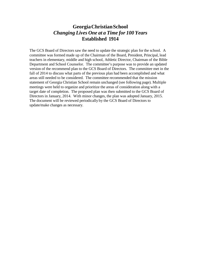#### **GeorgiaChristianSchool** *Changing Lives One at a Time for 100 Years* **Established 1914**

The GCS Board of Directors saw the need to update the strategic plan for the school. A committee was formed made up of the Chairman of the Board, President, Principal, lead teachers in elementary, middle and high school, Athletic Director, Chairman of the Bible Department and School Counselor. The committee's purpose was to provide an updated version of the recommend plan to the GCS Board of Directors. The committee met in the fall of 2014 to discuss what parts of the previous plan had been accomplished and what areas still needed to be considered. The committee recommended that the mission statement of Georgia Christian School remain unchanged (see following page). Multiple meetings were held to organize and prioritize the areas of consideration along with a target date of completion. The proposed plan was then submitted to the GCS Board of Directors in January, 2014. With minor changes, the plan was adopted January, 2015. The document will be reviewed periodically by the GCS Board of Directors to update/make changes as necessary.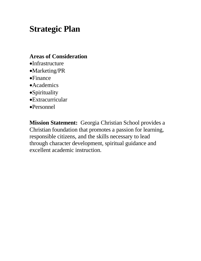# **Strategic Plan**

#### **Areas of Consideration**

- •Infrastructure
- •Marketing/PR
- •Finance
- •Academics
- •Spirituality
- •Extracurricular
- •Personnel

**Mission Statement:** Georgia Christian School provides a Christian foundation that promotes a passion for learning, responsible citizens, and the skills necessary to lead through character development, spiritual guidance and excellent academic instruction.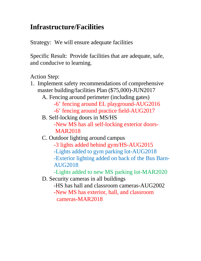#### **Infrastructure/Facilities**

Strategy: We will ensure adequate facilities

Specific Result: Provide facilities that are adequate, safe, and conducive to learning.

Action Step:

1. Implement safety recommendations of comprehensive master building/facilities Plan (\$75,000)-JUN2017 A. Fencing around perimeter (including gates) -6' fencing around EL playground-AUG2016 -6' fencing around practice field-AUG2017 B. Self-locking doors in MS/HS

-New MS has all self-locking exterior doors-MAR2018

- C. Outdoor lighting around campus
	- -3 lights added behind gym/HS-AUG2015 -Lights added to gym parking lot-AUG2018 -Exterior lighting added on back of the Bus Barn-AUG2018

-Lights added to new MS parking lot-MAR2020

- D. Security cameras in all buildings
	- -HS has hall and classroom cameras-AUG2002
	- -New MS has exterior, hall, and classroom cameras-MAR2018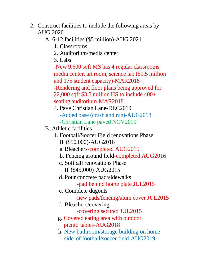- 2. Construct facilities to include the following areas by AUG 2020
	- A. 6-12 facilities (\$5 million)-AUG 2021
		- 1. Classrooms
		- 2. Auditorium/media center
		- 3. Labs

-New 9,600 sqft MS has 4 regular classrooms, media center, art room, science lab (\$1.5 million and 175 student capacity)-MAR2018 -Rendering and floor plans being approved for 22,000 sqft \$3.5 million HS to include 400+ seating auditorium-MAR2018

- 4. Pave Christian Lane-DEC2019 -Added base (crush and run)-AUG2018 -Christian Lane paved NOV2019
- B. Athletic facilities
	- 1. Football/Soccer Field renovations Phase II (\$50,000)-AUG2016
		- a.Bleachers-completed AUG2015
		- b. Fencing around field-completed AUG2016
		- c. Softball renovations Phase
			- II (\$45,000) AUG2015
		- d. Pour concrete pad/sidewalks
			- -pad behind home plate JUL2015
		- e. Complete dugouts
			- -new pads/fencing/alum cover JUL2015
		- f. Bleachers/covering
			- -covering secured JUL2015
		- g. Covered eating area with outdoor picnic tables-AUG2018
		- h. New bathroom/storage building on home side of football/soccer field-AUG2019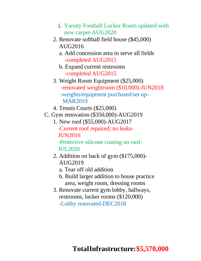- i. Varsity Football Locker Room updated with new carpet-AUG2020
- 2. Renovate softball field house (\$45,000) AUG2016
	- a. Add concession area to serve all fields -completed AUG2015
	- b. Expand current restrooms -completed AUG2015
- 3. Weight Room Equipment (\$25,000) -renovated weightroom (\$10,000)-JUN2018 -weights/equipment purchased/set up-MAR2019
- 4. Tennis Courts (\$25,000)
- C. Gym renovation (\$350,000)-AUG2019
	- 1. New roof (\$55,000)-AUG2017 -Current roof repaired; no leaks-JUN2016

-Protective silicone coating on roof-JUL2020

- 2. Addition on back of gym (\$175,000)- AUG2019
	- a. Tear off old addition
	- b. Build larger addition to house practice area, weight room, dressing rooms
- 3. Renovate current gym lobby, hallways, restrooms, locker rooms (\$120,000) -Lobby renovated-DEC2018

#### **TotalInfrastructure:\$5,570,000**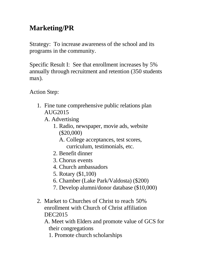## **Marketing/PR**

Strategy: To increase awareness of the school and its programs in the community.

Specific Result I: See that enrollment increases by 5% annually through recruitment and retention (350 students max).

Action Step:

- 1. Fine tune comprehensive public relations plan AUG2015
	- A. Advertising
		- 1. Radio, newspaper, movie ads, website (\$20,000)
			- A. College acceptances, test scores, curriculum, testimonials, etc.
		- 2. Benefit dinner
		- 3. Chorus events
		- 4. Church ambassadors
		- 5. Rotary (\$1,100)
		- 6. Chamber (Lake Park/Valdosta) (\$200)
		- 7. Develop alumni/donor database (\$10,000)
- 2. Market to Churches of Christ to reach 50% enrollment with Church of Christ affiliation DEC2015

A. Meet with Elders and promote value of GCS for their congregations

1. Promote church scholarships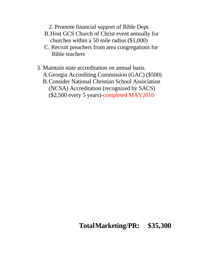2. Promote financial support of Bible Dept.

- B.Host GCS Church of Christ event annually for churches within a 50 mile radius (\$1,000)
- C. Recruit preachers from area congregations for Bible teachers
- 3. Maintain state accreditation on annual basis.
	- A.Georgia Accrediting Commission (GAC) (\$500)
	- B.Consider National Christian School Association (NCSA) Accreditation (recognized by SACS) (\$2,500 every 5 years)-completed MAY2016

#### **TotalMarketing/PR: \$35,300**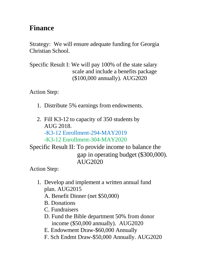#### **Finance**

Strategy: We will ensure adequate funding for Georgia Christian School.

Specific Result I: We will pay 100% of the state salary scale and include a benefits package (\$100,000 annually). AUG2020

Action Step:

- 1. Distribute 5% earnings from endowments.
- 2. Fill K3-12 to capacity of 350 students by AUG 2018. -K3-12 Enrollment-294-MAY2019 -K3-12 Enrollment-304-MAY2020

Specific Result II: To provide income to balance the gap in operating budget (\$300,000). AUG2020

- 1. Develop and implement a written annual fund plan. AUG2015
	- A. Benefit Dinner (net \$50,000)
	- B. Donations
	- C. Fundraisers
	- D. Fund the Bible department 50% from donor income (\$50,000 annually). AUG2020
	- E. Endowment Draw-\$60,000 Annually
	- F. Sch Endmt Draw-\$50,000 Annually. AUG2020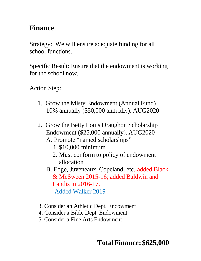#### **Finance**

Strategy: We will ensure adequate funding for all school functions.

Specific Result: Ensure that the endowment is working for the school now.

- 1. Grow the Misty Endowment (Annual Fund) 10% annually (\$50,000 annually). AUG2020
- 2. Grow the Betty Louis Draughon Scholarship Endowment (\$25,000 annually). AUG2020
	- A. Promote "named scholarships"
		- 1. \$10,000 minimum
		- 2. Must conform to policy of endowment allocation
	- B. Edge, Juveneaux, Copeland, etc.-added Black & McSween 2015-16; added Baldwin and Landis in 2016-17. -Added Walker 2019
- 3. Consider an Athletic Dept. Endowment
- 4. Consider a Bible Dept. Endowment
- 5. Consider a Fine Arts Endowment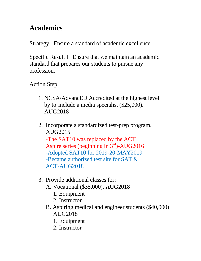#### **Academics**

Strategy: Ensure a standard of academic excellence.

Specific Result I: Ensure that we maintain an academic standard that prepares our students to pursue any profession.

- 1. NCSA/AdvancED Accredited at the highest level by to include a media specialist (\$25,000). AUG2018
- 2. Incorporate a standardized test-prep program. AUG2015 -The SAT10 was replaced by the ACT Aspire series (beginning in  $3<sup>rd</sup>$ )-AUG2016 -Adopted SAT10 for 2019-20-MAY2019 -Became authorized test site for SAT & ACT-AUG2018
- 3. Provide additional classes for:
	- A. Vocational (\$35,000). AUG2018
		- 1. Equipment
		- 2. Instructor
	- B. Aspiring medical and engineer students (\$40,000) AUG2018
		- 1. Equipment
		- 2. Instructor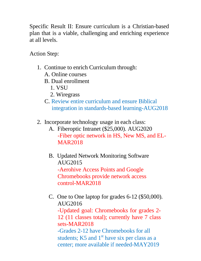Specific Result II: Ensure curriculum is a Christian-based plan that is a viable, challenging and enriching experience at all levels.

- 1. Continue to enrich Curriculum through:
	- A. Online courses
	- B. Dual enrollment
		- 1. VSU
		- 2. Wiregrass
	- C. Review entire curriculum and ensure Biblical integration in standards-based learning-AUG2018
- 2. Incorporate technology usage in each class:
	- A. Fiberoptic Intranet (\$25,000). AUG2020 -Fiber optic network in HS, New MS, and EL-MAR2018
	- B. Updated Network Monitoring Software AUG2015 -Aerohive Access Points and Google Chromebooks provide network access control-MAR2018
	- C. One to One laptop for grades 6-12 (\$50,000). AUG2016 -Updated goal: Chromebooks for grades 2- 12 (11 classes total); currently have 7 class sets-MAR2018 -Grades 2-12 have Chromebooks for all students; K5 and  $1<sup>st</sup>$  have six per class as a center; more available if needed-MAY2019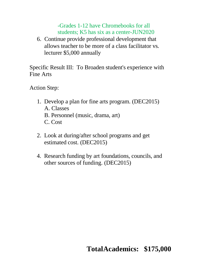#### -Grades 1-12 have Chromebooks for all students; K5 has six as a center-JUN2020

6. Continue provide professional development that allows teacher to be more of a class facilitator vs. lecturer \$5,000 annually

Specific Result III: To Broaden student's experience with Fine Arts

Action Step:

- 1. Develop a plan for fine arts program. (DEC2015) A. Classes
	- B. Personnel (music, drama, art)
	- C. Cost
- 2. Look at during/after school programs and get estimated cost. (DEC2015)
- 4. Research funding by art foundations, councils, and other sources of funding. (DEC2015)

## **TotalAcademics: \$175,000**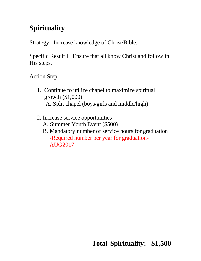## **Spirituality**

Strategy: Increase knowledge of Christ/Bible.

Specific Result I: Ensure that all know Christ and follow in His steps.

- 1. Continue to utilize chapel to maximize spiritual growth (\$1,000) A. Split chapel (boys/girls and middle/high)
- 2. Increase service opportunities
	- A. Summer Youth Event (\$500)
	- B. Mandatory number of service hours for graduation -Required number per year for graduation-AUG2017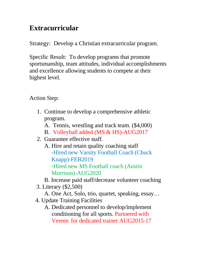#### **Extracurricular**

Strategy: Develop a Christian extracurricular program.

Specific Result: To develop programs that promote sportsmanship, team attitudes, individual accomplishments and excellence allowing students to compete at their highest level.

- 1. Continue to develop a comprehensive athletic program.
	- A. Tennis, wrestling and track team. (\$4,000)
	- B. Volleyball added (MS & HS)-AUG2017
- 2. Guarantee effective staff.
	- A. Hire and retain quality coaching staff -Hired new Varsity Football Coach (Chuck Knapp)-FEB2019 -Hired new MS Football coach (Austin Morrison)-AUG2020
	- B. Increase paid staff/decrease volunteer coaching
- 3. Literary (\$2,500)
	- A. One Act, Solo, trio, quartet, speaking, essay…
- 4. Update Training Facilities
	- A. Dedicated personnel to develop/implement conditioning for all sports. Partnered with Vereen for dedicated trainer AUG2015-17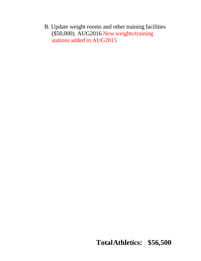B. Update weight rooms and other training facilities (\$50,000). AUG2016 New weights/training stations added in AUG2015

**TotalAthletics: \$56,500**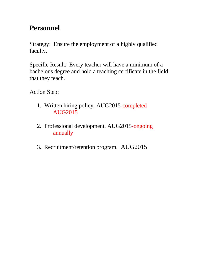## **Personnel**

Strategy: Ensure the employment of a highly qualified faculty.

Specific Result: Every teacher will have a minimum of a bachelor's degree and hold a teaching certificate in the field that they teach.

- 1. Written hiring policy. AUG2015-completed AUG2015
- 2. Professional development. AUG2015-ongoing annually
- 3. Recruitment/retention program. AUG2015